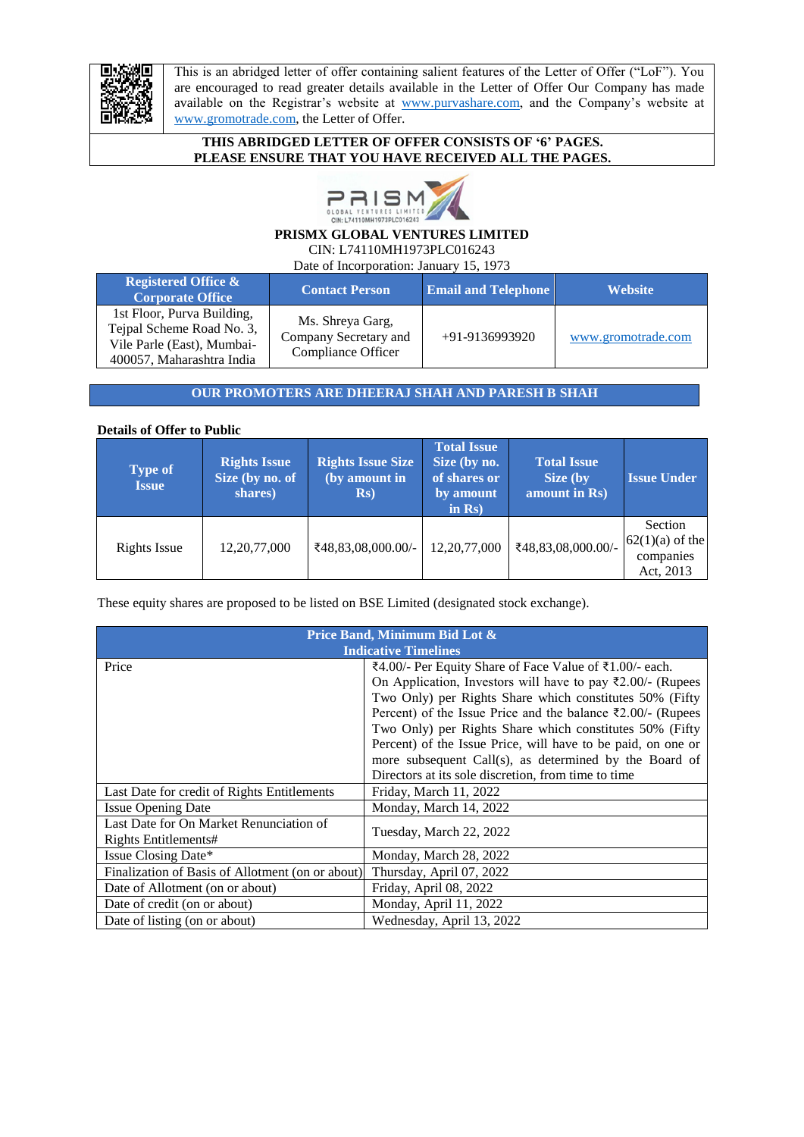

This is an abridged letter of offer containing salient features of the Letter of Offer ("LoF"). You are encouraged to read greater details available in the Letter of Offer Our Company has made available on the Registrar's website at [www.purvashare.com,](http://www.purvashare.com/) and the Company's website at www.gromotrade.com, the Letter of Offer.

## **THIS ABRIDGED LETTER OF OFFER CONSISTS OF '6' PAGES. PLEASE ENSURE THAT YOU HAVE RECEIVED ALL THE PAGES.**



# **PRISMX GLOBAL VENTURES LIMITED**

CIN: L74110MH1973PLC016243

Date of Incorporation: January 15, 1973

| <b>Registered Office &amp;</b><br><b>Corporate Office</b>                                                          | <b>Contact Person</b>                                           | <b>Email and Telephone</b> | <b>Website</b>     |
|--------------------------------------------------------------------------------------------------------------------|-----------------------------------------------------------------|----------------------------|--------------------|
| 1st Floor, Purva Building,<br>Tejpal Scheme Road No. 3,<br>Vile Parle (East), Mumbai-<br>400057. Maharashtra India | Ms. Shreya Garg,<br>Company Secretary and<br>Compliance Officer | $+91-9136993920$           | www.gromotrade.com |

# **OUR PROMOTERS ARE DHEERAJ SHAH AND PARESH B SHAH**

## **Details of Offer to Public**

| <b>Type of</b><br><b>Issue</b> | <b>Rights Issue</b><br>Size (by no. of<br>shares) | <b>Rights Issue Size</b><br>$\sqrt{a}$ (by amount in<br>$\mathbf{Rs})$ | <b>Total Issue</b><br>Size (by no.<br>of shares or<br>by amount<br>in $\mathbf{Rs}$ ) | <b>Total Issue</b><br>Size (by<br>amount in Rs) | <b>Issue Under</b>                                     |
|--------------------------------|---------------------------------------------------|------------------------------------------------------------------------|---------------------------------------------------------------------------------------|-------------------------------------------------|--------------------------------------------------------|
| Rights Issue                   | 12, 20, 77, 000                                   | ₹48,83,08,000.00/-                                                     | 12, 20, 77, 000                                                                       | ₹48,83,08,000.00/-                              | Section<br>$62(1)(a)$ of the<br>companies<br>Act, 2013 |

These equity shares are proposed to be listed on BSE Limited (designated stock exchange).

| Price Band, Minimum Bid Lot &<br><b>Indicative Timelines</b> |                                                              |  |
|--------------------------------------------------------------|--------------------------------------------------------------|--|
| Price                                                        | ₹4.00/- Per Equity Share of Face Value of ₹1.00/- each.      |  |
|                                                              | On Application, Investors will have to pay ₹2.00/- (Rupees   |  |
|                                                              | Two Only) per Rights Share which constitutes 50% (Fifty      |  |
|                                                              | Percent) of the Issue Price and the balance ₹2.00/- (Rupees  |  |
|                                                              | Two Only) per Rights Share which constitutes 50% (Fifty      |  |
|                                                              | Percent) of the Issue Price, will have to be paid, on one or |  |
|                                                              | more subsequent Call(s), as determined by the Board of       |  |
|                                                              | Directors at its sole discretion, from time to time          |  |
| Last Date for credit of Rights Entitlements                  | Friday, March 11, 2022                                       |  |
| <b>Issue Opening Date</b>                                    | Monday, March 14, 2022                                       |  |
| Last Date for On Market Renunciation of                      | Tuesday, March 22, 2022                                      |  |
| Rights Entitlements#                                         |                                                              |  |
| Issue Closing Date*                                          | Monday, March 28, 2022                                       |  |
| Finalization of Basis of Allotment (on or about)             | Thursday, April 07, 2022                                     |  |
| Date of Allotment (on or about)                              | Friday, April 08, 2022                                       |  |
| Date of credit (on or about)                                 | Monday, April 11, 2022                                       |  |
| Date of listing (on or about)                                | Wednesday, April 13, 2022                                    |  |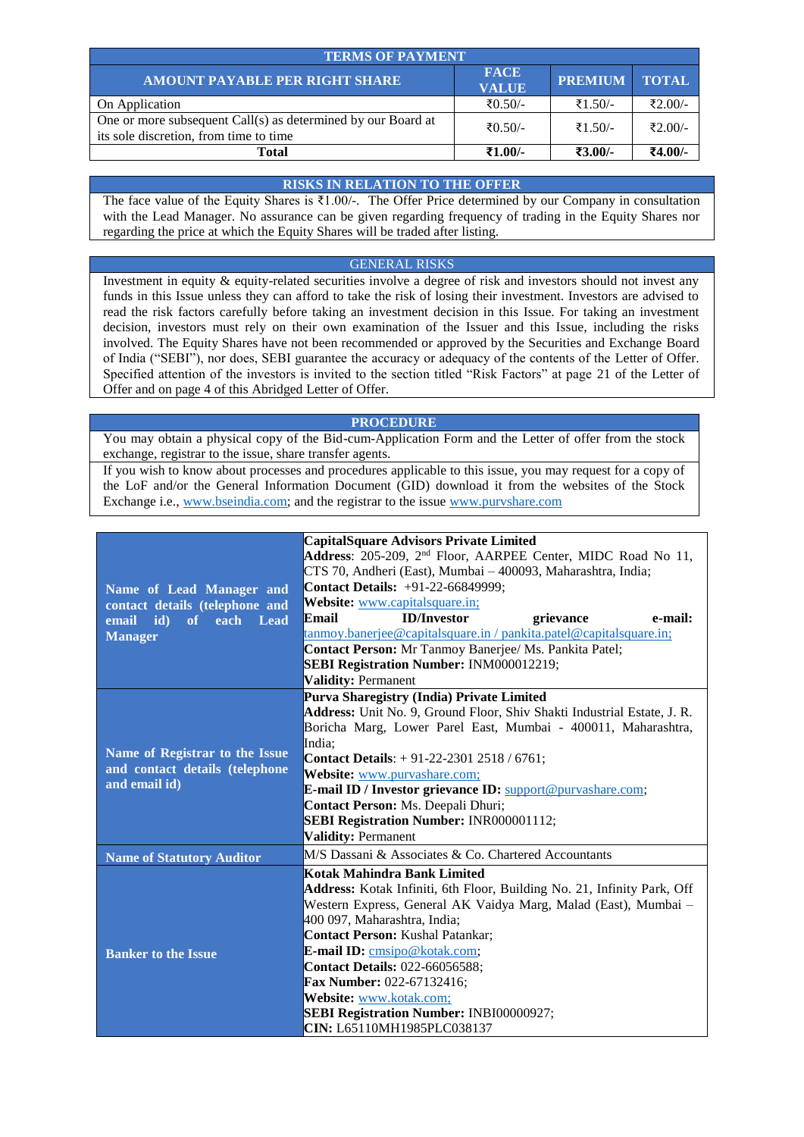| <b>TERMS OF PAYMENT</b>                                                                                |                             |                      |         |  |  |
|--------------------------------------------------------------------------------------------------------|-----------------------------|----------------------|---------|--|--|
| <b>AMOUNT PAYABLE PER RIGHT SHARE</b>                                                                  | <b>FACE</b><br><b>VALUE</b> | <b>PREMIUM TOTAL</b> |         |  |  |
| On Application                                                                                         | ₹ $0.50/-$                  | ₹1.50/-              | ₹2.00/- |  |  |
| One or more subsequent Call(s) as determined by our Board at<br>its sole discretion, from time to time | ₹ $0.50/-$                  | ₹1.50/-              | ₹2.00/- |  |  |
| Total                                                                                                  | ₹1.00/-                     | ₹3.00/-              | ₹4.00/- |  |  |

#### **RISKS IN RELATION TO THE OFFER**

The face value of the Equity Shares is ₹1.00/-. The Offer Price determined by our Company in consultation with the Lead Manager. No assurance can be given regarding frequency of trading in the Equity Shares nor regarding the price at which the Equity Shares will be traded after listing.

#### GENERAL RISKS

Investment in equity & equity-related securities involve a degree of risk and investors should not invest any funds in this Issue unless they can afford to take the risk of losing their investment. Investors are advised to read the risk factors carefully before taking an investment decision in this Issue. For taking an investment decision, investors must rely on their own examination of the Issuer and this Issue, including the risks involved. The Equity Shares have not been recommended or approved by the Securities and Exchange Board of India ("SEBI"), nor does, SEBI guarantee the accuracy or adequacy of the contents of the Letter of Offer. Specified attention of the investors is invited to the section titled "Risk Factors" at page 21 of the Letter of Offer and on page [4](#page-3-0) of this Abridged Letter of Offer.

#### **PROCEDURE**

You may obtain a physical copy of the Bid-cum-Application Form and the Letter of offer from the stock exchange, registrar to the issue, share transfer agents.

If you wish to know about processes and procedures applicable to this issue, you may request for a copy of the LoF and/or the General Information Document (GID) download it from the websites of the Stock Exchange i.e., www.bseindia.com; and the registrar to the issue [www.purvshare.com](http://www.purvshare.com/)

|                                  | <b>CapitalSquare Advisors Private Limited</b>                            |  |  |
|----------------------------------|--------------------------------------------------------------------------|--|--|
|                                  | Address: 205-209, 2 <sup>nd</sup> Floor, AARPEE Center, MIDC Road No 11, |  |  |
|                                  | CTS 70, Andheri (East), Mumbai – 400093, Maharashtra, India;             |  |  |
| Name of Lead Manager and         | Contact Details: +91-22-66849999;                                        |  |  |
| contact details (telephone and   | <b>Website:</b> www.capitalsquare.in;                                    |  |  |
| id)<br>of<br>each Lead<br>email  | <b>ID/Investor</b><br>Email<br>e-mail:<br>grievance                      |  |  |
| <b>Manager</b>                   | tanmoy.banerjee@capitalsquare.in/pankita.patel@capitalsquare.in;         |  |  |
|                                  | Contact Person: Mr Tanmoy Banerjee/ Ms. Pankita Patel;                   |  |  |
|                                  | <b>SEBI Registration Number: INM000012219;</b>                           |  |  |
|                                  | <b>Validity: Permanent</b>                                               |  |  |
|                                  | Purva Sharegistry (India) Private Limited                                |  |  |
|                                  | Address: Unit No. 9, Ground Floor, Shiv Shakti Industrial Estate, J. R.  |  |  |
|                                  | Boricha Marg, Lower Parel East, Mumbai - 400011, Maharashtra,            |  |  |
|                                  | India;                                                                   |  |  |
| Name of Registrar to the Issue   | <b>Contact Details:</b> $+91-22-23012518/6761;$                          |  |  |
| and contact details (telephone   | Website: www.purvashare.com;                                             |  |  |
| and email id)                    | E-mail ID / Investor grievance ID: support@purvashare.com;               |  |  |
|                                  | Contact Person: Ms. Deepali Dhuri;                                       |  |  |
|                                  | <b>SEBI Registration Number: INR000001112;</b>                           |  |  |
|                                  | <b>Validity: Permanent</b>                                               |  |  |
| <b>Name of Statutory Auditor</b> | M/S Dassani & Associates & Co. Chartered Accountants                     |  |  |
|                                  | Kotak Mahindra Bank Limited                                              |  |  |
|                                  | Address: Kotak Infiniti, 6th Floor, Building No. 21, Infinity Park, Off  |  |  |
|                                  | Western Express, General AK Vaidya Marg, Malad (East), Mumbai -          |  |  |
|                                  | 400 097, Maharashtra, India;                                             |  |  |
|                                  | <b>Contact Person: Kushal Patankar;</b>                                  |  |  |
| <b>Banker to the Issue</b>       | <b>E-mail ID:</b> cmsipo@kotak.com;                                      |  |  |
|                                  | <b>Contact Details: 022-66056588;</b>                                    |  |  |
|                                  | Fax Number: 022-67132416;                                                |  |  |
|                                  | Website: www.kotak.com;                                                  |  |  |
|                                  | <b>SEBI Registration Number: INBI00000927;</b>                           |  |  |
|                                  | CIN: L65110MH1985PLC038137                                               |  |  |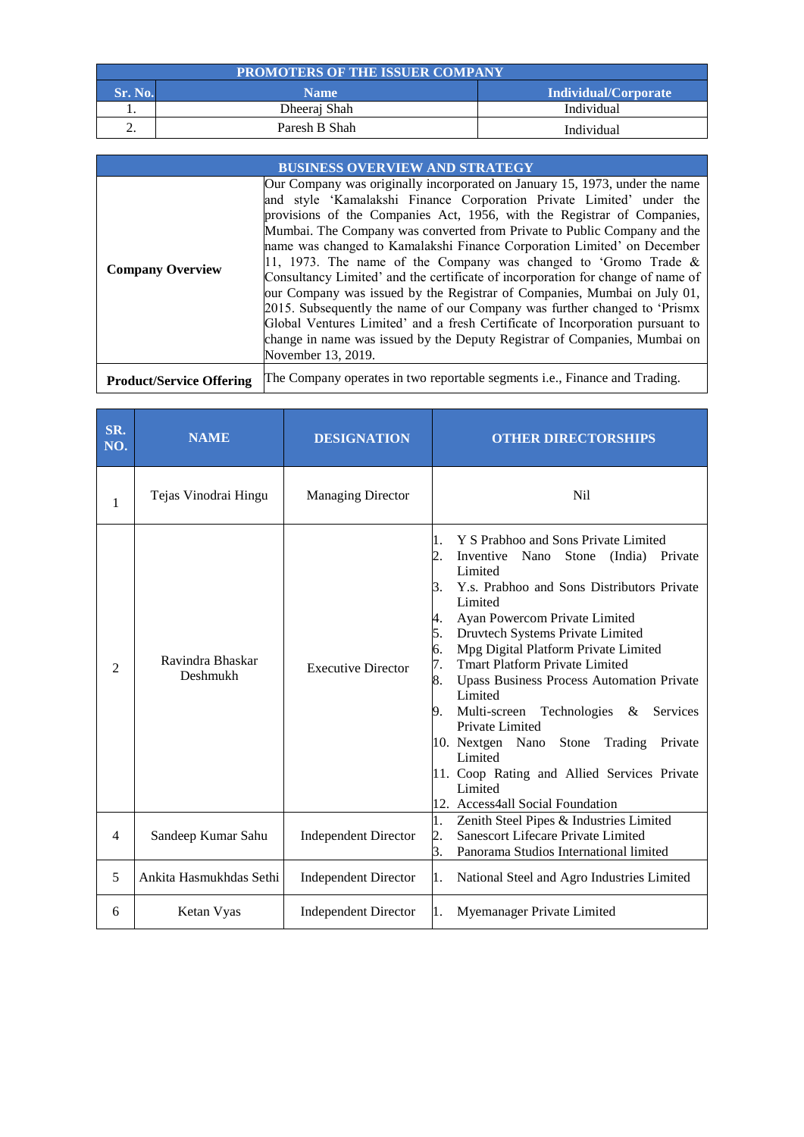| <b>PROMOTERS OF THE ISSUER COMPANY</b>         |               |            |  |  |
|------------------------------------------------|---------------|------------|--|--|
| Sr. No.<br>Individual/Corporate<br><b>Name</b> |               |            |  |  |
| .,                                             | Dheeraj Shah  | Individual |  |  |
|                                                | Paresh B Shah | Individual |  |  |

|                                 | <b>BUSINESS OVERVIEW AND STRATEGY</b>                                                                                                                                                                                                                                                                                                                                                                                                                                                                                                                                                                                                                                                                                                                                                                                                                                                     |
|---------------------------------|-------------------------------------------------------------------------------------------------------------------------------------------------------------------------------------------------------------------------------------------------------------------------------------------------------------------------------------------------------------------------------------------------------------------------------------------------------------------------------------------------------------------------------------------------------------------------------------------------------------------------------------------------------------------------------------------------------------------------------------------------------------------------------------------------------------------------------------------------------------------------------------------|
| <b>Company Overview</b>         | Our Company was originally incorporated on January 15, 1973, under the name<br>and style 'Kamalakshi Finance Corporation Private Limited' under the<br>provisions of the Companies Act, 1956, with the Registrar of Companies,<br>Mumbai. The Company was converted from Private to Public Company and the<br>name was changed to Kamalakshi Finance Corporation Limited' on December<br>[11, 1973. The name of the Company was changed to 'Gromo Trade &<br>Consultancy Limited' and the certificate of incorporation for change of name of<br>our Company was issued by the Registrar of Companies, Mumbai on July 01,<br>2015. Subsequently the name of our Company was further changed to 'Prismx<br>Global Ventures Limited' and a fresh Certificate of Incorporation pursuant to<br>change in name was issued by the Deputy Registrar of Companies, Mumbai on<br>November 13, 2019. |
| <b>Product/Service Offering</b> | The Company operates in two reportable segments i.e., Finance and Trading.                                                                                                                                                                                                                                                                                                                                                                                                                                                                                                                                                                                                                                                                                                                                                                                                                |

| SR.<br>NO. | <b>NAME</b>                  | <b>DESIGNATION</b>          | <b>OTHER DIRECTORSHIPS</b>                                                                                                                                                                                                                                                                                                                                                                                                                                                                                                                                                                                                                                  |
|------------|------------------------------|-----------------------------|-------------------------------------------------------------------------------------------------------------------------------------------------------------------------------------------------------------------------------------------------------------------------------------------------------------------------------------------------------------------------------------------------------------------------------------------------------------------------------------------------------------------------------------------------------------------------------------------------------------------------------------------------------------|
| 1          | Tejas Vinodrai Hingu         | <b>Managing Director</b>    | N <sub>i</sub> l                                                                                                                                                                                                                                                                                                                                                                                                                                                                                                                                                                                                                                            |
| 2          | Ravindra Bhaskar<br>Deshmukh | <b>Executive Director</b>   | Y S Prabhoo and Sons Private Limited<br>Π.<br>Inventive Nano<br>Stone<br>(India) Private<br>2.<br>Limited<br>Y.s. Prabhoo and Sons Distributors Private<br>3.<br>Limited<br>Ayan Powercom Private Limited<br>4.<br>5.<br>Druvtech Systems Private Limited<br>6.<br>Mpg Digital Platform Private Limited<br>7.<br><b>Tmart Platform Private Limited</b><br>8.<br><b>Upass Business Process Automation Private</b><br>Limited<br>Multi-screen Technologies<br>Services<br>9.<br>&<br>Private Limited<br>10. Nextgen Nano Stone<br>Trading<br>Private<br>Limited<br>11. Coop Rating and Allied Services Private<br>Limited<br>12. Access4all Social Foundation |
| 4          | Sandeep Kumar Sahu           | <b>Independent Director</b> | Zenith Steel Pipes & Industries Limited<br>1.<br>Sanescort Lifecare Private Limited<br>2.<br>3.<br>Panorama Studios International limited                                                                                                                                                                                                                                                                                                                                                                                                                                                                                                                   |
| 5          | Ankita Hasmukhdas Sethi      | <b>Independent Director</b> | National Steel and Agro Industries Limited<br>1.                                                                                                                                                                                                                                                                                                                                                                                                                                                                                                                                                                                                            |
| 6          | Ketan Vyas                   | <b>Independent Director</b> | Myemanager Private Limited<br>1.                                                                                                                                                                                                                                                                                                                                                                                                                                                                                                                                                                                                                            |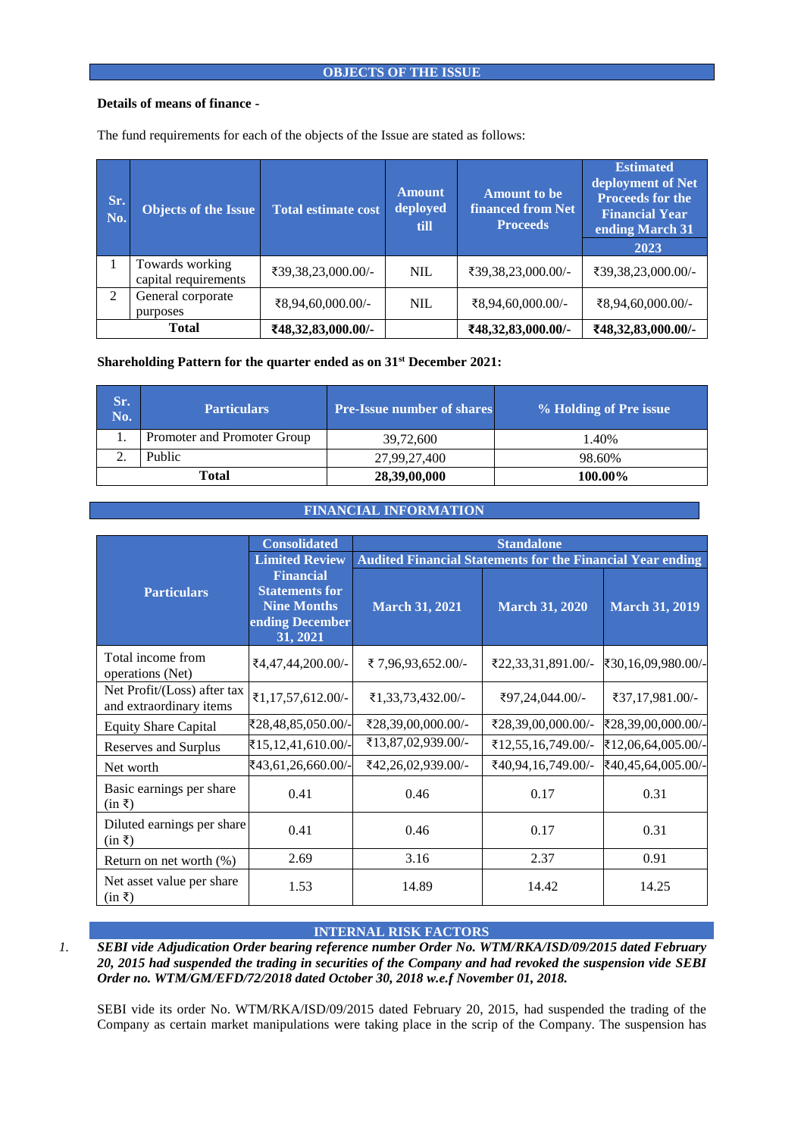## **OBJECTS OF THE ISSUE**

#### **Details of means of finance -**

| Sr.<br>No. | <b>Objects of the Issue</b>             | <b>Total estimate cost</b> | <b>Amount</b><br>deployed<br>till | <b>Amount to be</b><br><b>financed from Net</b><br><b>Proceeds</b> | <b>Estimated</b><br>deployment of Net<br><b>Proceeds for the</b><br><b>Financial Year</b><br>ending March 31<br>2023 |
|------------|-----------------------------------------|----------------------------|-----------------------------------|--------------------------------------------------------------------|----------------------------------------------------------------------------------------------------------------------|
|            | Towards working<br>capital requirements | ₹39,38,23,000.00/-         | <b>NIL</b>                        | ₹39,38,23,000.00/-                                                 | ₹39,38,23,000.00/-                                                                                                   |
| 2          | General corporate<br>purposes           | ₹8,94,60,000.00/-          | <b>NIL</b>                        | ₹8,94,60,000.00/-                                                  | ₹8,94,60,000.00/-                                                                                                    |
|            | <b>Total</b>                            | ₹48,32,83,000.00/-         |                                   | ₹48,32,83,000.00/-                                                 | ₹48,32,83,000.00/-                                                                                                   |

The fund requirements for each of the objects of the Issue are stated as follows:

# **Shareholding Pattern for the quarter ended as on 31st December 2021:**

| Sr.<br>No. | <b>Particulars</b>          | <b>Pre-Issue number of shares</b> | % Holding of Pre issue |
|------------|-----------------------------|-----------------------------------|------------------------|
|            | Promoter and Promoter Group | 39.72.600                         | 1.40%                  |
|            | Public                      | 27,99,27,400                      | 98.60%                 |
|            | Total                       | 28,39,00,000                      | 100.00%                |

## **FINANCIAL INFORMATION**

| <b>Consolidated</b>                                                                                                  |                       | <b>Standalone</b>                                                 |                       |                       |  |
|----------------------------------------------------------------------------------------------------------------------|-----------------------|-------------------------------------------------------------------|-----------------------|-----------------------|--|
|                                                                                                                      | <b>Limited Review</b> | <b>Audited Financial Statements for the Financial Year ending</b> |                       |                       |  |
| <b>Financial</b><br><b>Statements for</b><br><b>Particulars</b><br><b>Nine Months</b><br>ending December<br>31, 2021 |                       | <b>March 31, 2021</b>                                             | <b>March 31, 2020</b> | <b>March 31, 2019</b> |  |
| Total income from<br>operations (Net)                                                                                | ₹4,47,44,200.00/-     | ₹7,96,93,652.00/-                                                 | ₹22,33,31,891.00/-    | ₹30,16,09,980.00/-    |  |
| Net Profit/(Loss) after tax<br>and extraordinary items                                                               | ₹1,17,57,612.00/-     | ₹1,33,73,432.00/-                                                 | ₹97,24,044.00/-       | ₹37,17,981.00/-       |  |
| <b>Equity Share Capital</b>                                                                                          | ₹28,48,85,050.00/-    | ₹28,39,00,000.00/-                                                | ₹28,39,00,000.00/-    | ₹28,39,00,000.00/-    |  |
| Reserves and Surplus                                                                                                 | ₹15,12,41,610.00/-    | ₹13,87,02,939.00/-                                                | ₹12,55,16,749.00/-    | ₹12,06,64,005.00/-    |  |
| Net worth                                                                                                            | ₹43,61,26,660.00/-    | ₹42,26,02,939.00/-                                                | ₹40,94,16,749.00/-    | ₹40,45,64,005.00/-    |  |
| Basic earnings per share<br>$(in \xi)$                                                                               | 0.41                  | 0.46                                                              | 0.17                  | 0.31                  |  |
| Diluted earnings per share<br>$(in \xi)$                                                                             | 0.41                  | 0.46                                                              | 0.17                  | 0.31                  |  |
| Return on net worth $(\%)$                                                                                           | 2.69                  | 3.16                                                              | 2.37                  | 0.91                  |  |
| Net asset value per share<br>$(in \xi)$                                                                              | 1.53                  | 14.89                                                             | 14.42                 | 14.25                 |  |

## **INTERNAL RISK FACTORS**

<span id="page-3-0"></span>*1. SEBI vide Adjudication Order bearing reference number Order No. WTM/RKA/ISD/09/2015 dated February 20, 2015 had suspended the trading in securities of the Company and had revoked the suspension vide SEBI Order no. WTM/GM/EFD/72/2018 dated October 30, 2018 w.e.f November 01, 2018.*

SEBI vide its order No. WTM/RKA/ISD/09/2015 dated February 20, 2015, had suspended the trading of the Company as certain market manipulations were taking place in the scrip of the Company. The suspension has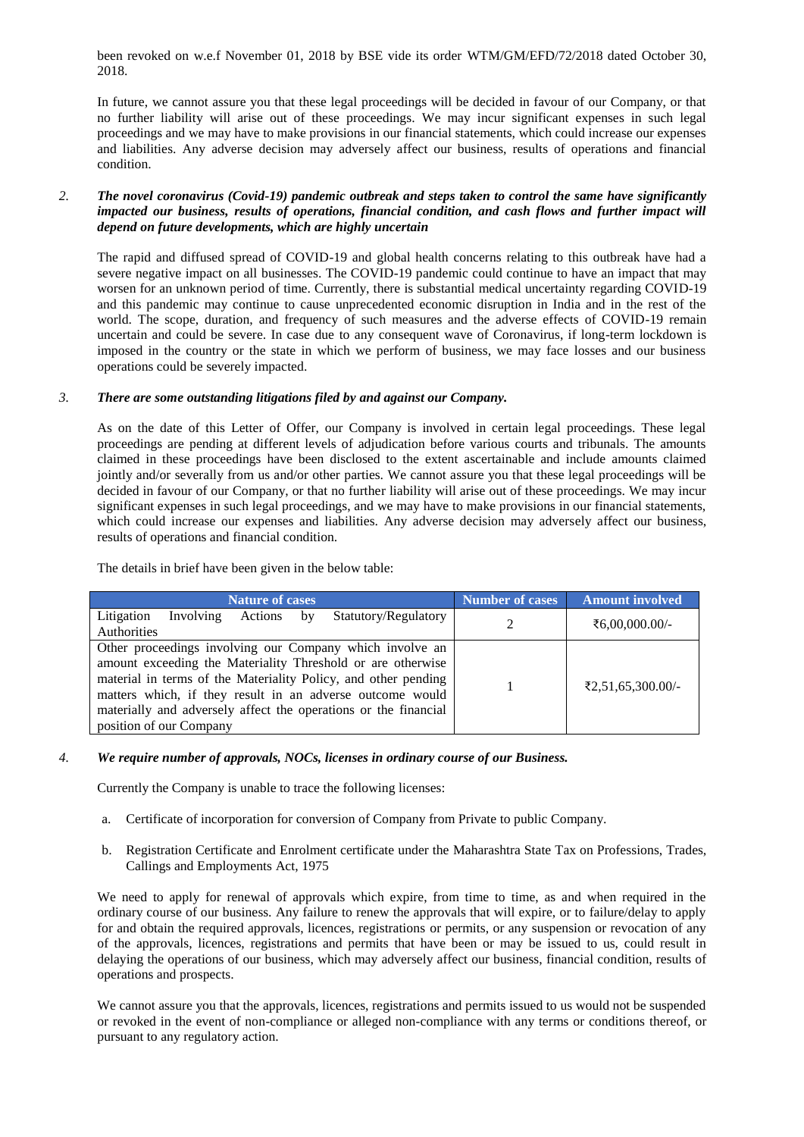been revoked on w.e.f November 01, 2018 by BSE vide its order WTM/GM/EFD/72/2018 dated October 30, 2018.

In future, we cannot assure you that these legal proceedings will be decided in favour of our Company, or that no further liability will arise out of these proceedings. We may incur significant expenses in such legal proceedings and we may have to make provisions in our financial statements, which could increase our expenses and liabilities. Any adverse decision may adversely affect our business, results of operations and financial condition.

## *2. The novel coronavirus (Covid-19) pandemic outbreak and steps taken to control the same have significantly impacted our business, results of operations, financial condition, and cash flows and further impact will depend on future developments, which are highly uncertain*

The rapid and diffused spread of COVID-19 and global health concerns relating to this outbreak have had a severe negative impact on all businesses. The COVID-19 pandemic could continue to have an impact that may worsen for an unknown period of time. Currently, there is substantial medical uncertainty regarding COVID-19 and this pandemic may continue to cause unprecedented economic disruption in India and in the rest of the world. The scope, duration, and frequency of such measures and the adverse effects of COVID-19 remain uncertain and could be severe. In case due to any consequent wave of Coronavirus, if long-term lockdown is imposed in the country or the state in which we perform of business, we may face losses and our business operations could be severely impacted.

## *3. There are some outstanding litigations filed by and against our Company.*

As on the date of this Letter of Offer, our Company is involved in certain legal proceedings. These legal proceedings are pending at different levels of adjudication before various courts and tribunals. The amounts claimed in these proceedings have been disclosed to the extent ascertainable and include amounts claimed jointly and/or severally from us and/or other parties. We cannot assure you that these legal proceedings will be decided in favour of our Company, or that no further liability will arise out of these proceedings. We may incur significant expenses in such legal proceedings, and we may have to make provisions in our financial statements, which could increase our expenses and liabilities. Any adverse decision may adversely affect our business, results of operations and financial condition.

The details in brief have been given in the below table:

| <b>Nature of cases</b>                                                                                                                                                                                                                                                                                                                               | <b>Number of cases</b> | <b>Amount involved</b> |
|------------------------------------------------------------------------------------------------------------------------------------------------------------------------------------------------------------------------------------------------------------------------------------------------------------------------------------------------------|------------------------|------------------------|
| Litigation<br>Involving<br>Statutory/Regulatory<br>Actions by<br>Authorities                                                                                                                                                                                                                                                                         |                        | ₹6,00,000.00/-         |
| Other proceedings involving our Company which involve an<br>amount exceeding the Materiality Threshold or are otherwise<br>material in terms of the Materiality Policy, and other pending<br>matters which, if they result in an adverse outcome would<br>materially and adversely affect the operations or the financial<br>position of our Company |                        | ₹2,51,65,300.00/-      |

#### *4. We require number of approvals, NOCs, licenses in ordinary course of our Business.*

Currently the Company is unable to trace the following licenses:

- a. Certificate of incorporation for conversion of Company from Private to public Company.
- b. Registration Certificate and Enrolment certificate under the Maharashtra State Tax on Professions, Trades, Callings and Employments Act, 1975

We need to apply for renewal of approvals which expire, from time to time, as and when required in the ordinary course of our business. Any failure to renew the approvals that will expire, or to failure/delay to apply for and obtain the required approvals, licences, registrations or permits, or any suspension or revocation of any of the approvals, licences, registrations and permits that have been or may be issued to us, could result in delaying the operations of our business, which may adversely affect our business, financial condition, results of operations and prospects.

We cannot assure you that the approvals, licences, registrations and permits issued to us would not be suspended or revoked in the event of non-compliance or alleged non-compliance with any terms or conditions thereof, or pursuant to any regulatory action.